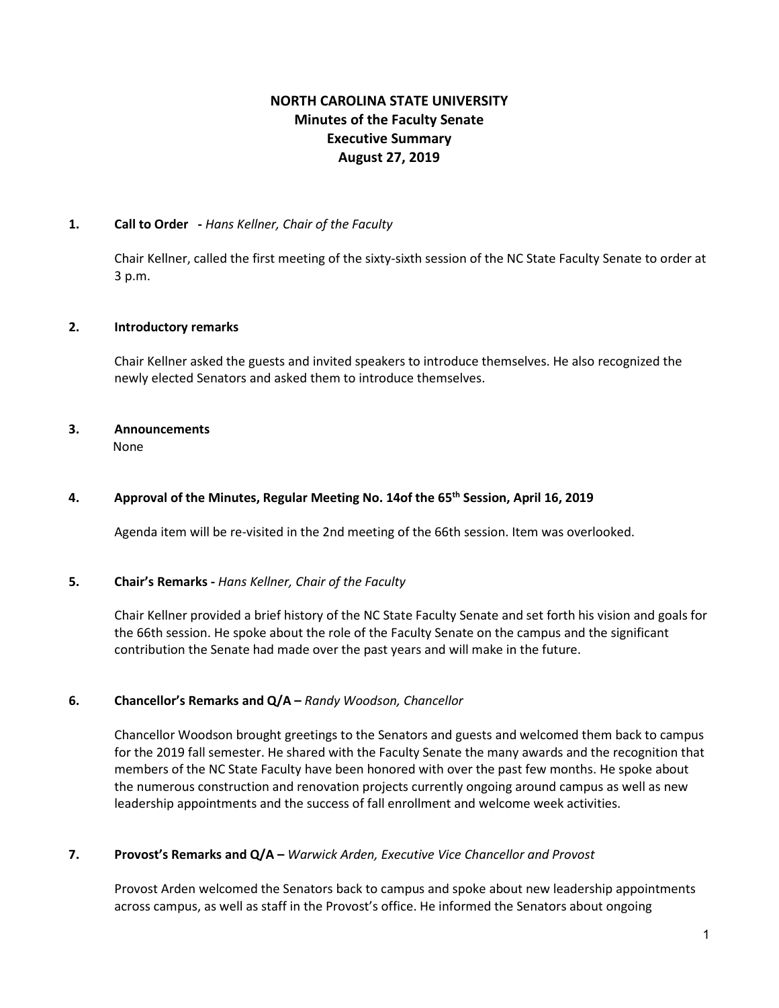# **NORTH CAROLINA STATE UNIVERSITY Minutes of the Faculty Senate Executive Summary August 27, 2019**

#### **1. Call to Order -** *Hans Kellner, Chair of the Faculty*

Chair Kellner, called the first meeting of the sixty-sixth session of the NC State Faculty Senate to order at 3 p.m.

#### **2. Introductory remarks**

Chair Kellner asked the guests and invited speakers to introduce themselves. He also recognized the newly elected Senators and asked them to introduce themselves.

#### **3. Announcements** None

#### **4. Approval of the Minutes, Regular Meeting No. 14of the 65th Session, April 16, 2019**

Agenda item will be re-visited in the 2nd meeting of the 66th session. Item was overlooked.

#### **5. Chair's Remarks -** *Hans Kellner, Chair of the Faculty*

Chair Kellner provided a brief history of the NC State Faculty Senate and set forth his vision and goals for the 66th session. He spoke about the role of the Faculty Senate on the campus and the significant contribution the Senate had made over the past years and will make in the future.

#### **6. Chancellor's Remarks and Q/A –** *Randy Woodson, Chancellor*

Chancellor Woodson brought greetings to the Senators and guests and welcomed them back to campus for the 2019 fall semester. He shared with the Faculty Senate the many awards and the recognition that members of the NC State Faculty have been honored with over the past few months. He spoke about the numerous construction and renovation projects currently ongoing around campus as well as new leadership appointments and the success of fall enrollment and welcome week activities.

#### **7. Provost's Remarks and Q/A –** *Warwick Arden, Executive Vice Chancellor and Provost*

Provost Arden welcomed the Senators back to campus and spoke about new leadership appointments across campus, as well as staff in the Provost's office. He informed the Senators about ongoing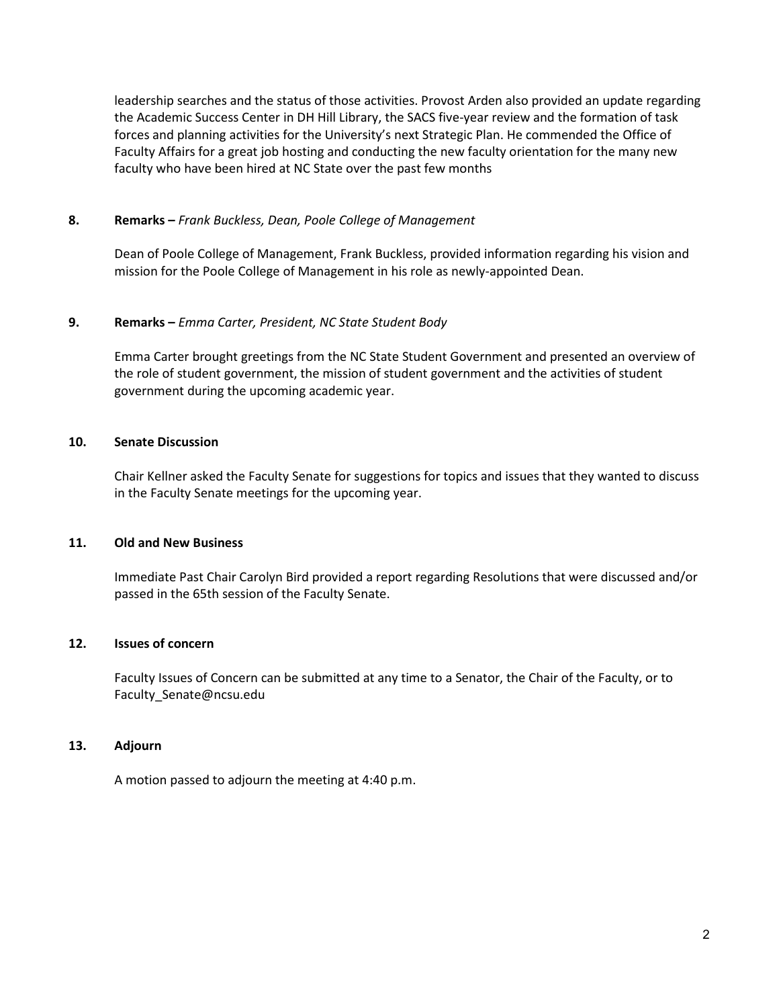leadership searches and the status of those activities. Provost Arden also provided an update regarding the Academic Success Center in DH Hill Library, the SACS five-year review and the formation of task forces and planning activities for the University's next Strategic Plan. He commended the Office of Faculty Affairs for a great job hosting and conducting the new faculty orientation for the many new faculty who have been hired at NC State over the past few months

#### **8. Remarks –** *Frank Buckless, Dean, Poole College of Management*

Dean of Poole College of Management, Frank Buckless, provided information regarding his vision and mission for the Poole College of Management in his role as newly-appointed Dean.

#### **9. Remarks –** *Emma Carter, President, NC State Student Body*

Emma Carter brought greetings from the NC State Student Government and presented an overview of the role of student government, the mission of student government and the activities of student government during the upcoming academic year.

#### **10. Senate Discussion**

Chair Kellner asked the Faculty Senate for suggestions for topics and issues that they wanted to discuss in the Faculty Senate meetings for the upcoming year.

#### **11. Old and New Business**

Immediate Past Chair Carolyn Bird provided a report regarding Resolutions that were discussed and/or passed in the 65th session of the Faculty Senate.

# **12. Issues of concern**

Faculty Issues of Concern can be submitted at any time to a Senator, the Chair of the Faculty, or to Faculty\_Senate@ncsu.edu

#### **13. Adjourn**

A motion passed to adjourn the meeting at 4:40 p.m.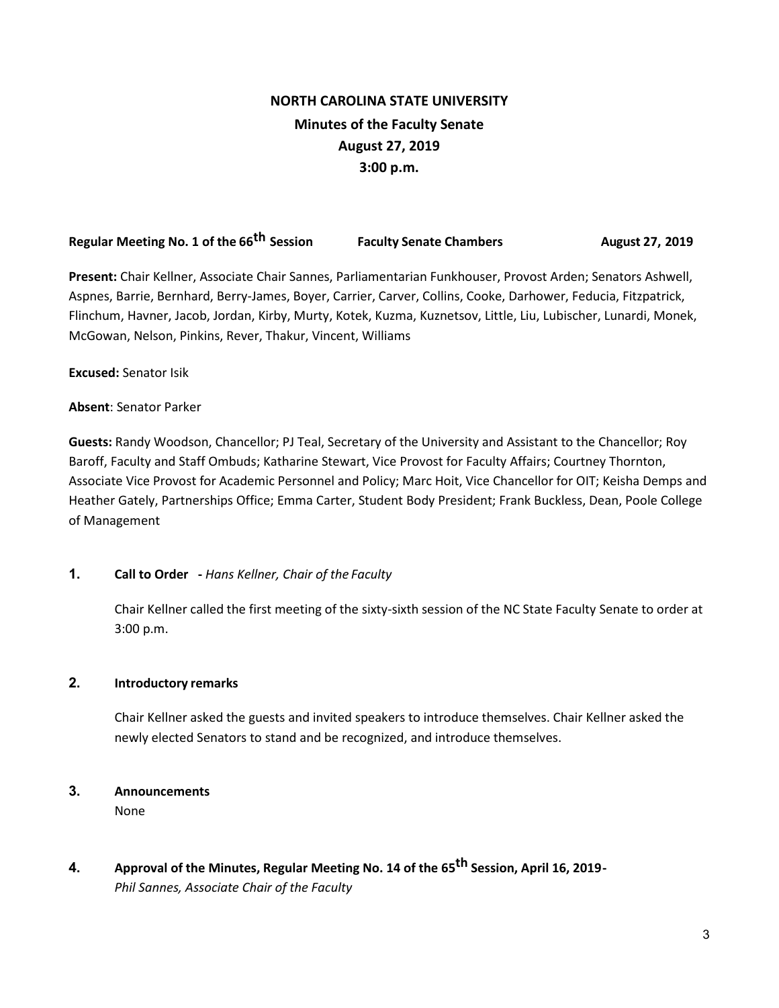# **NORTH CAROLINA STATE UNIVERSITY Minutes of the Faculty Senate August 27, 2019 3:00 p.m.**

# **Regular Meeting No. 1 of the 66th Session Faculty Senate Chambers August 27, 2019**

**Present:** Chair Kellner, Associate Chair Sannes, Parliamentarian Funkhouser, Provost Arden; Senators Ashwell, Aspnes, Barrie, Bernhard, Berry-James, Boyer, Carrier, Carver, Collins, Cooke, Darhower, Feducia, Fitzpatrick, Flinchum, Havner, Jacob, Jordan, Kirby, Murty, Kotek, Kuzma, Kuznetsov, Little, Liu, Lubischer, Lunardi, Monek, McGowan, Nelson, Pinkins, Rever, Thakur, Vincent, Williams

**Excused:** Senator Isik

#### **Absent**: Senator Parker

**Guests:** Randy Woodson, Chancellor; PJ Teal, Secretary of the University and Assistant to the Chancellor; Roy Baroff, Faculty and Staff Ombuds; Katharine Stewart, Vice Provost for Faculty Affairs; Courtney Thornton, Associate Vice Provost for Academic Personnel and Policy; Marc Hoit, Vice Chancellor for OIT; Keisha Demps and Heather Gately, Partnerships Office; Emma Carter, Student Body President; Frank Buckless, Dean, Poole College of Management

#### **1. Call to Order -** *Hans Kellner, Chair of the Faculty*

Chair Kellner called the first meeting of the sixty-sixth session of the NC State Faculty Senate to order at 3:00 p.m.

#### **2. Introductory remarks**

Chair Kellner asked the guests and invited speakers to introduce themselves. Chair Kellner asked the newly elected Senators to stand and be recognized, and introduce themselves.

#### **3. Announcements**

None

**4. Approval of the Minutes, Regular Meeting No. 14 of the 65th Session, April 16, 2019-** *Phil Sannes, Associate Chair of the Faculty*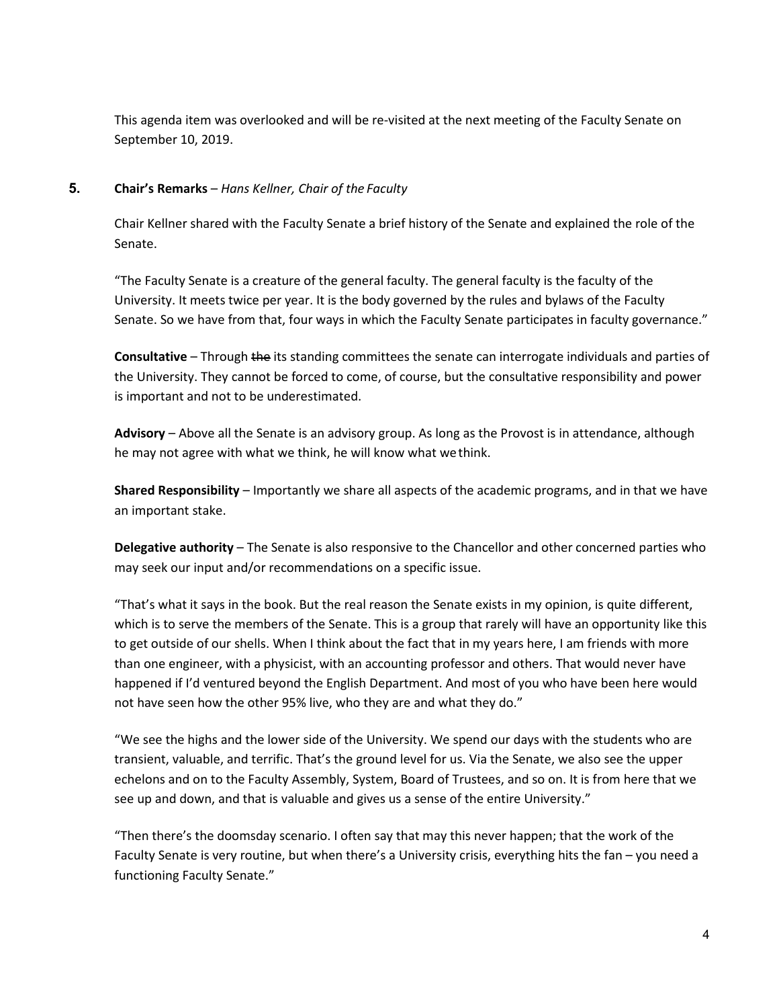This agenda item was overlooked and will be re-visited at the next meeting of the Faculty Senate on September 10, 2019.

# **5. Chair's Remarks** – *Hans Kellner, Chair of the Faculty*

Chair Kellner shared with the Faculty Senate a brief history of the Senate and explained the role of the Senate.

"The Faculty Senate is a creature of the general faculty. The general faculty is the faculty of the University. It meets twice per year. It is the body governed by the rules and bylaws of the Faculty Senate. So we have from that, four ways in which the Faculty Senate participates in faculty governance."

**Consultative** – Through the its standing committees the senate can interrogate individuals and parties of the University. They cannot be forced to come, of course, but the consultative responsibility and power is important and not to be underestimated.

**Advisory** – Above all the Senate is an advisory group. As long as the Provost is in attendance, although he may not agree with what we think, he will know what wethink.

**Shared Responsibility** – Importantly we share all aspects of the academic programs, and in that we have an important stake.

**Delegative authority** – The Senate is also responsive to the Chancellor and other concerned parties who may seek our input and/or recommendations on a specific issue.

"That's what it says in the book. But the real reason the Senate exists in my opinion, is quite different, which is to serve the members of the Senate. This is a group that rarely will have an opportunity like this to get outside of our shells. When I think about the fact that in my years here, I am friends with more than one engineer, with a physicist, with an accounting professor and others. That would never have happened if I'd ventured beyond the English Department. And most of you who have been here would not have seen how the other 95% live, who they are and what they do."

"We see the highs and the lower side of the University. We spend our days with the students who are transient, valuable, and terrific. That's the ground level for us. Via the Senate, we also see the upper echelons and on to the Faculty Assembly, System, Board of Trustees, and so on. It is from here that we see up and down, and that is valuable and gives us a sense of the entire University."

"Then there's the doomsday scenario. I often say that may this never happen; that the work of the Faculty Senate is very routine, but when there's a University crisis, everything hits the fan – you need a functioning Faculty Senate."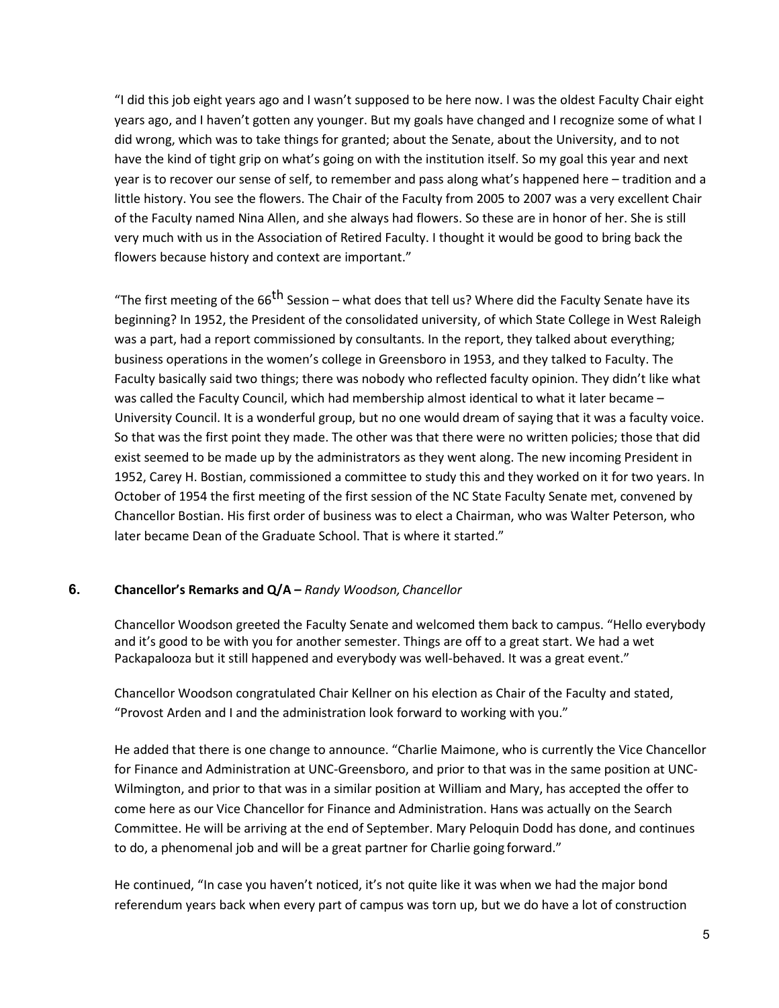"I did this job eight years ago and I wasn't supposed to be here now. I was the oldest Faculty Chair eight years ago, and I haven't gotten any younger. But my goals have changed and I recognize some of what I did wrong, which was to take things for granted; about the Senate, about the University, and to not have the kind of tight grip on what's going on with the institution itself. So my goal this year and next year is to recover our sense of self, to remember and pass along what's happened here – tradition and a little history. You see the flowers. The Chair of the Faculty from 2005 to 2007 was a very excellent Chair of the Faculty named Nina Allen, and she always had flowers. So these are in honor of her. She is still very much with us in the Association of Retired Faculty. I thought it would be good to bring back the flowers because history and context are important."

"The first meeting of the 66<sup>th</sup> Session – what does that tell us? Where did the Faculty Senate have its beginning? In 1952, the President of the consolidated university, of which State College in West Raleigh was a part, had a report commissioned by consultants. In the report, they talked about everything; business operations in the women's college in Greensboro in 1953, and they talked to Faculty. The Faculty basically said two things; there was nobody who reflected faculty opinion. They didn't like what was called the Faculty Council, which had membership almost identical to what it later became -University Council. It is a wonderful group, but no one would dream of saying that it was a faculty voice. So that was the first point they made. The other was that there were no written policies; those that did exist seemed to be made up by the administrators as they went along. The new incoming President in 1952, Carey H. Bostian, commissioned a committee to study this and they worked on it for two years. In October of 1954 the first meeting of the first session of the NC State Faculty Senate met, convened by Chancellor Bostian. His first order of business was to elect a Chairman, who was Walter Peterson, who later became Dean of the Graduate School. That is where it started."

#### **6. Chancellor's Remarks and Q/A –** *Randy Woodson,Chancellor*

Chancellor Woodson greeted the Faculty Senate and welcomed them back to campus. "Hello everybody and it's good to be with you for another semester. Things are off to a great start. We had a wet Packapalooza but it still happened and everybody was well-behaved. It was a great event."

Chancellor Woodson congratulated Chair Kellner on his election as Chair of the Faculty and stated, "Provost Arden and I and the administration look forward to working with you."

He added that there is one change to announce. "Charlie Maimone, who is currently the Vice Chancellor for Finance and Administration at UNC-Greensboro, and prior to that was in the same position at UNC-Wilmington, and prior to that was in a similar position at William and Mary, has accepted the offer to come here as our Vice Chancellor for Finance and Administration. Hans was actually on the Search Committee. He will be arriving at the end of September. Mary Peloquin Dodd has done, and continues to do, a phenomenal job and will be a great partner for Charlie going forward."

He continued, "In case you haven't noticed, it's not quite like it was when we had the major bond referendum years back when every part of campus was torn up, but we do have a lot of construction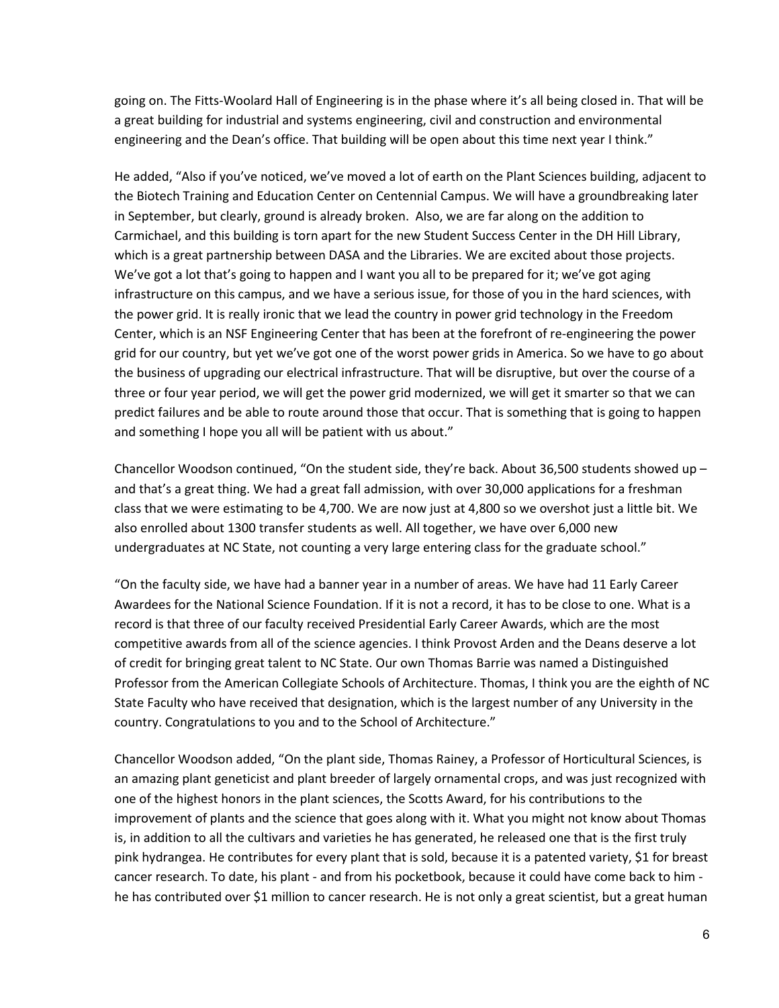going on. The Fitts-Woolard Hall of Engineering is in the phase where it's all being closed in. That will be a great building for industrial and systems engineering, civil and construction and environmental engineering and the Dean's office. That building will be open about this time next year I think."

He added, "Also if you've noticed, we've moved a lot of earth on the Plant Sciences building, adjacent to the Biotech Training and Education Center on Centennial Campus. We will have a groundbreaking later in September, but clearly, ground is already broken. Also, we are far along on the addition to Carmichael, and this building is torn apart for the new Student Success Center in the DH Hill Library, which is a great partnership between DASA and the Libraries. We are excited about those projects. We've got a lot that's going to happen and I want you all to be prepared for it; we've got aging infrastructure on this campus, and we have a serious issue, for those of you in the hard sciences, with the power grid. It is really ironic that we lead the country in power grid technology in the Freedom Center, which is an NSF Engineering Center that has been at the forefront of re-engineering the power grid for our country, but yet we've got one of the worst power grids in America. So we have to go about the business of upgrading our electrical infrastructure. That will be disruptive, but over the course of a three or four year period, we will get the power grid modernized, we will get it smarter so that we can predict failures and be able to route around those that occur. That is something that is going to happen and something I hope you all will be patient with us about."

Chancellor Woodson continued, "On the student side, they're back. About 36,500 students showed up  $$ and that's a great thing. We had a great fall admission, with over 30,000 applications for a freshman class that we were estimating to be 4,700. We are now just at 4,800 so we overshot just a little bit. We also enrolled about 1300 transfer students as well. All together, we have over 6,000 new undergraduates at NC State, not counting a very large entering class for the graduate school."

"On the faculty side, we have had a banner year in a number of areas. We have had 11 Early Career Awardees for the National Science Foundation. If it is not a record, it has to be close to one. What is a record is that three of our faculty received Presidential Early Career Awards, which are the most competitive awards from all of the science agencies. I think Provost Arden and the Deans deserve a lot of credit for bringing great talent to NC State. Our own Thomas Barrie was named a Distinguished Professor from the American Collegiate Schools of Architecture. Thomas, I think you are the eighth of NC State Faculty who have received that designation, which is the largest number of any University in the country. Congratulations to you and to the School of Architecture."

Chancellor Woodson added, "On the plant side, Thomas Rainey, a Professor of Horticultural Sciences, is an amazing plant geneticist and plant breeder of largely ornamental crops, and was just recognized with one of the highest honors in the plant sciences, the Scotts Award, for his contributions to the improvement of plants and the science that goes along with it. What you might not know about Thomas is, in addition to all the cultivars and varieties he has generated, he released one that is the first truly pink hydrangea. He contributes for every plant that is sold, because it is a patented variety, \$1 for breast cancer research. To date, his plant - and from his pocketbook, because it could have come back to him he has contributed over \$1 million to cancer research. He is not only a great scientist, but a great human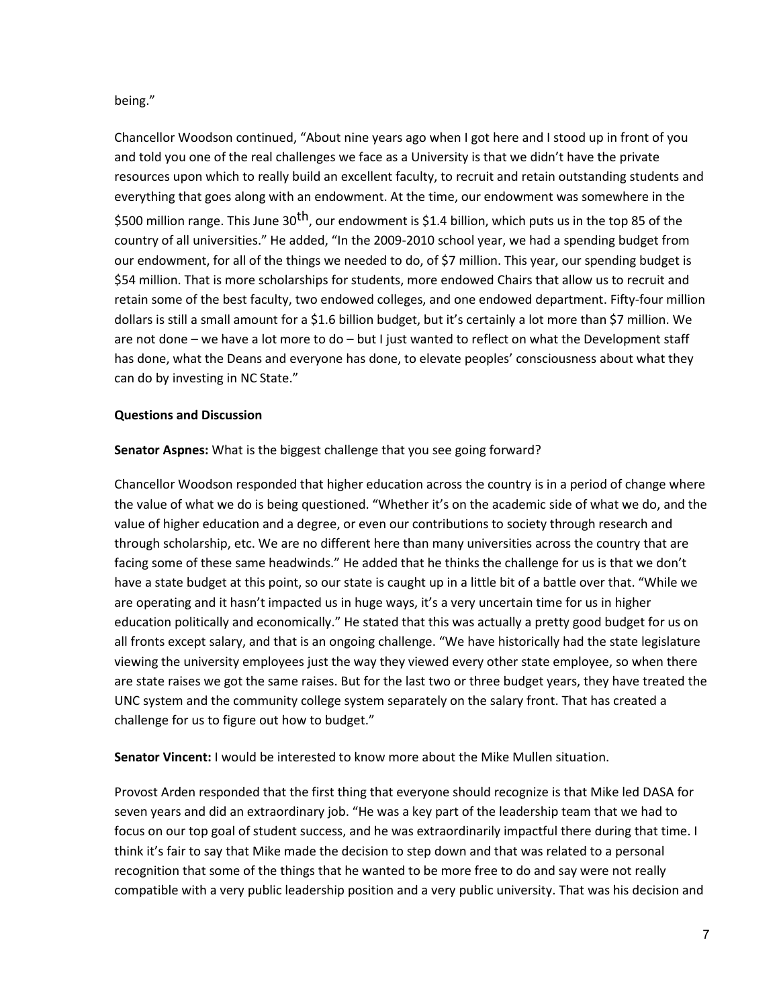## being."

Chancellor Woodson continued, "About nine years ago when I got here and I stood up in front of you and told you one of the real challenges we face as a University is that we didn't have the private resources upon which to really build an excellent faculty, to recruit and retain outstanding students and everything that goes along with an endowment. At the time, our endowment was somewhere in the \$500 million range. This June 30<sup>th</sup>, our endowment is \$1.4 billion, which puts us in the top 85 of the country of all universities." He added, "In the 2009-2010 school year, we had a spending budget from our endowment, for all of the things we needed to do, of \$7 million. This year, our spending budget is \$54 million. That is more scholarships for students, more endowed Chairs that allow us to recruit and retain some of the best faculty, two endowed colleges, and one endowed department. Fifty-four million dollars is still a small amount for a \$1.6 billion budget, but it's certainly a lot more than \$7 million. We are not done – we have a lot more to do – but I just wanted to reflect on what the Development staff has done, what the Deans and everyone has done, to elevate peoples' consciousness about what they can do by investing in NC State."

#### **Questions and Discussion**

## **Senator Aspnes:** What is the biggest challenge that you see going forward?

Chancellor Woodson responded that higher education across the country is in a period of change where the value of what we do is being questioned. "Whether it's on the academic side of what we do, and the value of higher education and a degree, or even our contributions to society through research and through scholarship, etc. We are no different here than many universities across the country that are facing some of these same headwinds." He added that he thinks the challenge for us is that we don't have a state budget at this point, so our state is caught up in a little bit of a battle over that. "While we are operating and it hasn't impacted us in huge ways, it's a very uncertain time for us in higher education politically and economically." He stated that this was actually a pretty good budget for us on all fronts except salary, and that is an ongoing challenge. "We have historically had the state legislature viewing the university employees just the way they viewed every other state employee, so when there are state raises we got the same raises. But for the last two or three budget years, they have treated the UNC system and the community college system separately on the salary front. That has created a challenge for us to figure out how to budget."

**Senator Vincent:** I would be interested to know more about the Mike Mullen situation.

Provost Arden responded that the first thing that everyone should recognize is that Mike led DASA for seven years and did an extraordinary job. "He was a key part of the leadership team that we had to focus on our top goal of student success, and he was extraordinarily impactful there during that time. I think it's fair to say that Mike made the decision to step down and that was related to a personal recognition that some of the things that he wanted to be more free to do and say were not really compatible with a very public leadership position and a very public university. That was his decision and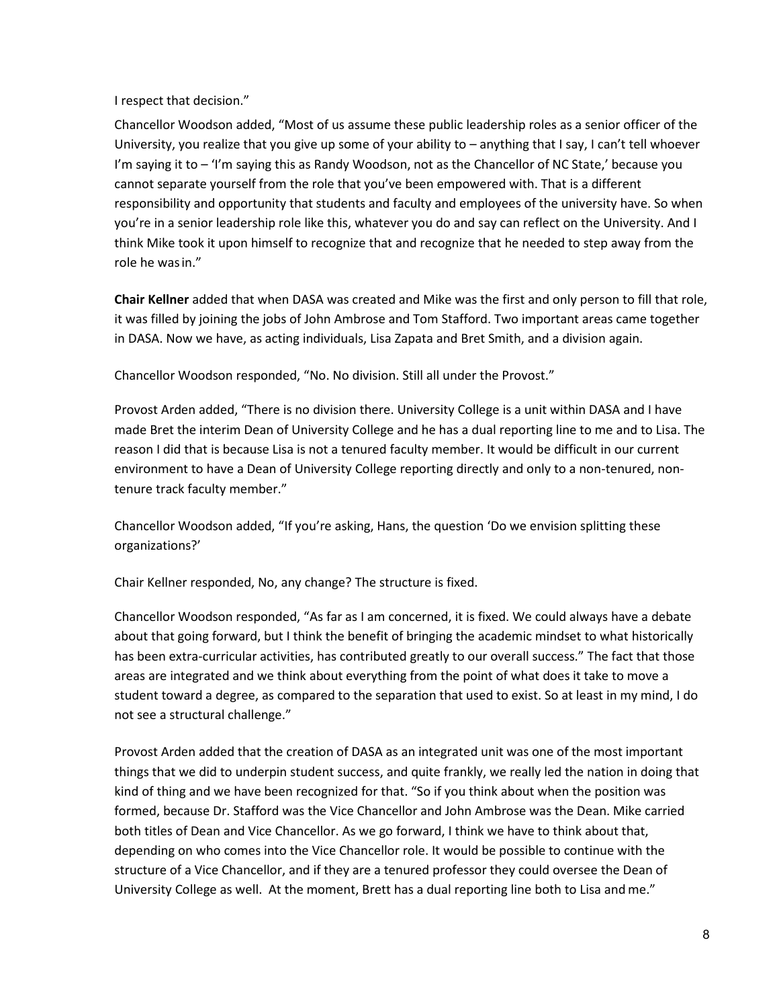#### I respect that decision."

Chancellor Woodson added, "Most of us assume these public leadership roles as a senior officer of the University, you realize that you give up some of your ability to – anything that I say, I can't tell whoever I'm saying it to – 'I'm saying this as Randy Woodson, not as the Chancellor of NC State,' because you cannot separate yourself from the role that you've been empowered with. That is a different responsibility and opportunity that students and faculty and employees of the university have. So when you're in a senior leadership role like this, whatever you do and say can reflect on the University. And I think Mike took it upon himself to recognize that and recognize that he needed to step away from the role he wasin."

**Chair Kellner** added that when DASA was created and Mike was the first and only person to fill that role, it was filled by joining the jobs of John Ambrose and Tom Stafford. Two important areas came together in DASA. Now we have, as acting individuals, Lisa Zapata and Bret Smith, and a division again.

Chancellor Woodson responded, "No. No division. Still all under the Provost."

Provost Arden added, "There is no division there. University College is a unit within DASA and I have made Bret the interim Dean of University College and he has a dual reporting line to me and to Lisa. The reason I did that is because Lisa is not a tenured faculty member. It would be difficult in our current environment to have a Dean of University College reporting directly and only to a non-tenured, nontenure track faculty member."

Chancellor Woodson added, "If you're asking, Hans, the question 'Do we envision splitting these organizations?'

Chair Kellner responded, No, any change? The structure is fixed.

Chancellor Woodson responded, "As far as I am concerned, it is fixed. We could always have a debate about that going forward, but I think the benefit of bringing the academic mindset to what historically has been extra-curricular activities, has contributed greatly to our overall success." The fact that those areas are integrated and we think about everything from the point of what does it take to move a student toward a degree, as compared to the separation that used to exist. So at least in my mind, I do not see a structural challenge."

Provost Arden added that the creation of DASA as an integrated unit was one of the most important things that we did to underpin student success, and quite frankly, we really led the nation in doing that kind of thing and we have been recognized for that. "So if you think about when the position was formed, because Dr. Stafford was the Vice Chancellor and John Ambrose was the Dean. Mike carried both titles of Dean and Vice Chancellor. As we go forward, I think we have to think about that, depending on who comes into the Vice Chancellor role. It would be possible to continue with the structure of a Vice Chancellor, and if they are a tenured professor they could oversee the Dean of University College as well. At the moment, Brett has a dual reporting line both to Lisa and me."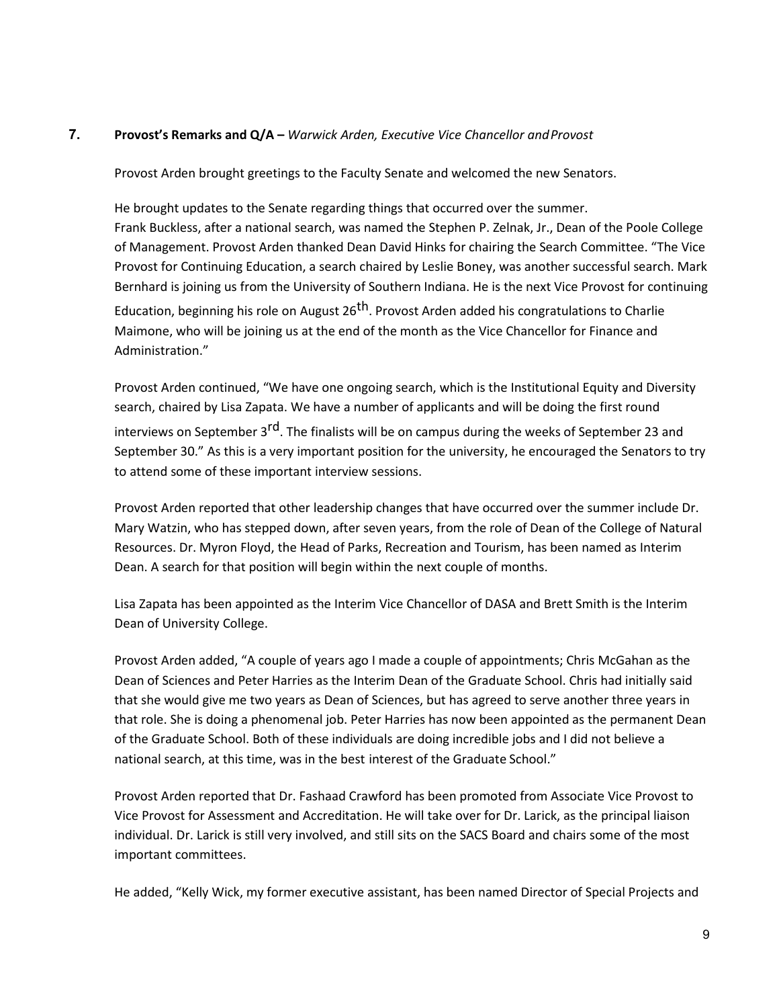# 7. **Provost's Remarks and Q/A –** *Warwick Arden, Executive Vice Chancellor and Provost*

Provost Arden brought greetings to the Faculty Senate and welcomed the new Senators.

He brought updates to the Senate regarding things that occurred over the summer. Frank Buckless, after a national search, was named the Stephen P. Zelnak, Jr., Dean of the Poole College of Management. Provost Arden thanked Dean David Hinks for chairing the Search Committee. "The Vice Provost for Continuing Education, a search chaired by Leslie Boney, was another successful search. Mark Bernhard is joining us from the University of Southern Indiana. He is the next Vice Provost for continuing Education, beginning his role on August 26<sup>th</sup>. Provost Arden added his congratulations to Charlie Maimone, who will be joining us at the end of the month as the Vice Chancellor for Finance and Administration."

Provost Arden continued, "We have one ongoing search, which is the Institutional Equity and Diversity search, chaired by Lisa Zapata. We have a number of applicants and will be doing the first round interviews on September 3<sup>rd</sup>. The finalists will be on campus during the weeks of September 23 and September 30." As this is a very important position for the university, he encouraged the Senators to try to attend some of these important interview sessions.

Provost Arden reported that other leadership changes that have occurred over the summer include Dr. Mary Watzin, who has stepped down, after seven years, from the role of Dean of the College of Natural Resources. Dr. Myron Floyd, the Head of Parks, Recreation and Tourism, has been named as Interim Dean. A search for that position will begin within the next couple of months.

Lisa Zapata has been appointed as the Interim Vice Chancellor of DASA and Brett Smith is the Interim Dean of University College.

Provost Arden added, "A couple of years ago I made a couple of appointments; Chris McGahan as the Dean of Sciences and Peter Harries as the Interim Dean of the Graduate School. Chris had initially said that she would give me two years as Dean of Sciences, but has agreed to serve another three years in that role. She is doing a phenomenal job. Peter Harries has now been appointed as the permanent Dean of the Graduate School. Both of these individuals are doing incredible jobs and I did not believe a national search, at this time, was in the best interest of the Graduate School."

Provost Arden reported that Dr. Fashaad Crawford has been promoted from Associate Vice Provost to Vice Provost for Assessment and Accreditation. He will take over for Dr. Larick, as the principal liaison individual. Dr. Larick is still very involved, and still sits on the SACS Board and chairs some of the most important committees.

He added, "Kelly Wick, my former executive assistant, has been named Director of Special Projects and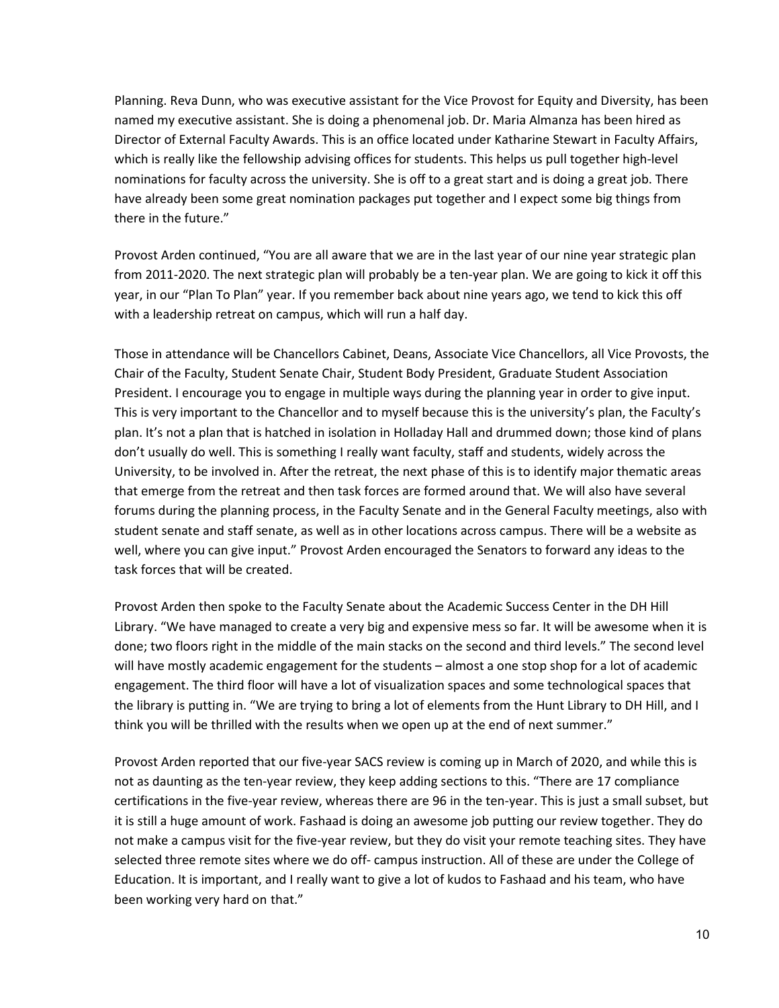Planning. Reva Dunn, who was executive assistant for the Vice Provost for Equity and Diversity, has been named my executive assistant. She is doing a phenomenal job. Dr. Maria Almanza has been hired as Director of External Faculty Awards. This is an office located under Katharine Stewart in Faculty Affairs, which is really like the fellowship advising offices for students. This helps us pull together high-level nominations for faculty across the university. She is off to a great start and is doing a great job. There have already been some great nomination packages put together and I expect some big things from there in the future."

Provost Arden continued, "You are all aware that we are in the last year of our nine year strategic plan from 2011-2020. The next strategic plan will probably be a ten-year plan. We are going to kick it off this year, in our "Plan To Plan" year. If you remember back about nine years ago, we tend to kick this off with a leadership retreat on campus, which will run a half day.

Those in attendance will be Chancellors Cabinet, Deans, Associate Vice Chancellors, all Vice Provosts, the Chair of the Faculty, Student Senate Chair, Student Body President, Graduate Student Association President. I encourage you to engage in multiple ways during the planning year in order to give input. This is very important to the Chancellor and to myself because this is the university's plan, the Faculty's plan. It's not a plan that is hatched in isolation in Holladay Hall and drummed down; those kind of plans don't usually do well. This is something I really want faculty, staff and students, widely across the University, to be involved in. After the retreat, the next phase of this is to identify major thematic areas that emerge from the retreat and then task forces are formed around that. We will also have several forums during the planning process, in the Faculty Senate and in the General Faculty meetings, also with student senate and staff senate, as well as in other locations across campus. There will be a website as well, where you can give input." Provost Arden encouraged the Senators to forward any ideas to the task forces that will be created.

Provost Arden then spoke to the Faculty Senate about the Academic Success Center in the DH Hill Library. "We have managed to create a very big and expensive mess so far. It will be awesome when it is done; two floors right in the middle of the main stacks on the second and third levels." The second level will have mostly academic engagement for the students – almost a one stop shop for a lot of academic engagement. The third floor will have a lot of visualization spaces and some technological spaces that the library is putting in. "We are trying to bring a lot of elements from the Hunt Library to DH Hill, and I think you will be thrilled with the results when we open up at the end of next summer."

Provost Arden reported that our five-year SACS review is coming up in March of 2020, and while this is not as daunting as the ten-year review, they keep adding sections to this. "There are 17 compliance certifications in the five-year review, whereas there are 96 in the ten-year. This is just a small subset, but it is still a huge amount of work. Fashaad is doing an awesome job putting our review together. They do not make a campus visit for the five-year review, but they do visit your remote teaching sites. They have selected three remote sites where we do off- campus instruction. All of these are under the College of Education. It is important, and I really want to give a lot of kudos to Fashaad and his team, who have been working very hard on that."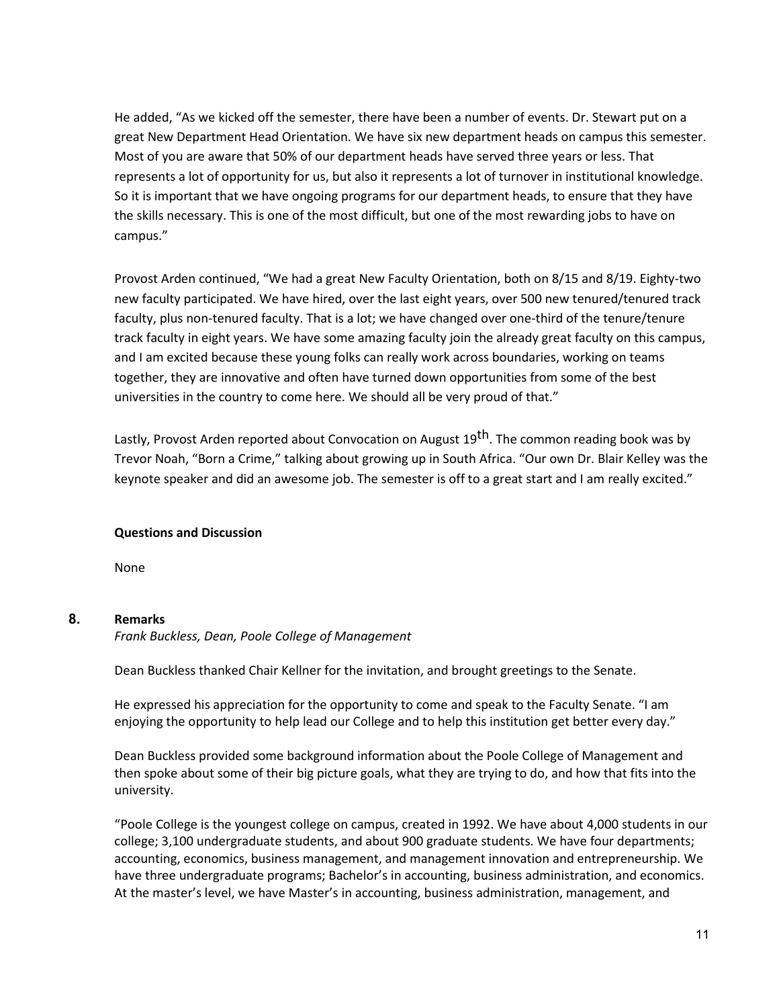He added, "As we kicked off the semester, there have been a number of events. Dr. Stewart put on a great New Department Head Orientation. We have six new department heads on campus this semester. Most of you are aware that 50% of our department heads have served three years or less. That represents a lot of opportunity for us, but also it represents a lot of turnover in institutional knowledge. So it is important that we have ongoing programs for our department heads, to ensure that they have the skills necessary. This is one of the most difficult, but one of the most rewarding jobs to have on campus."

Provost Arden continued, "We had a great New Faculty Orientation, both on 8/15 and 8/19. Eighty-two new faculty participated. We have hired, over the last eight years, over 500 new tenured/tenured track faculty, plus non-tenured faculty. That is a lot; we have changed over one-third of the tenure/tenure track faculty in eight years. We have some amazing faculty join the already great faculty on this campus, and I am excited because these young folks can really work across boundaries, working on teams together, they are innovative and often have turned down opportunities from some of the best universities in the country to come here. We should all be very proud of that."

Lastly, Provost Arden reported about Convocation on August 19<sup>th</sup>. The common reading book was by Trevor Noah, "Born a Crime," talking about growing up in South Africa. "Our own Dr. Blair Kelley was the keynote speaker and did an awesome job. The semester is off to a great start and I am really excited."

#### **Questions and Discussion**

None

#### **8. Remarks**

*Frank Buckless, Dean, Poole College of Management*

Dean Buckless thanked Chair Kellner for the invitation, and brought greetings to the Senate.

He expressed his appreciation for the opportunity to come and speak to the Faculty Senate. "I am enjoying the opportunity to help lead our College and to help this institution get better every day."

Dean Buckless provided some background information about the Poole College of Management and then spoke about some of their big picture goals, what they are trying to do, and how that fits into the university.

"Poole College is the youngest college on campus, created in 1992. We have about 4,000 students in our college; 3,100 undergraduate students, and about 900 graduate students. We have four departments; accounting, economics, business management, and management innovation and entrepreneurship. We have three undergraduate programs; Bachelor's in accounting, business administration, and economics. At the master's level, we have Master's in accounting, business administration, management, and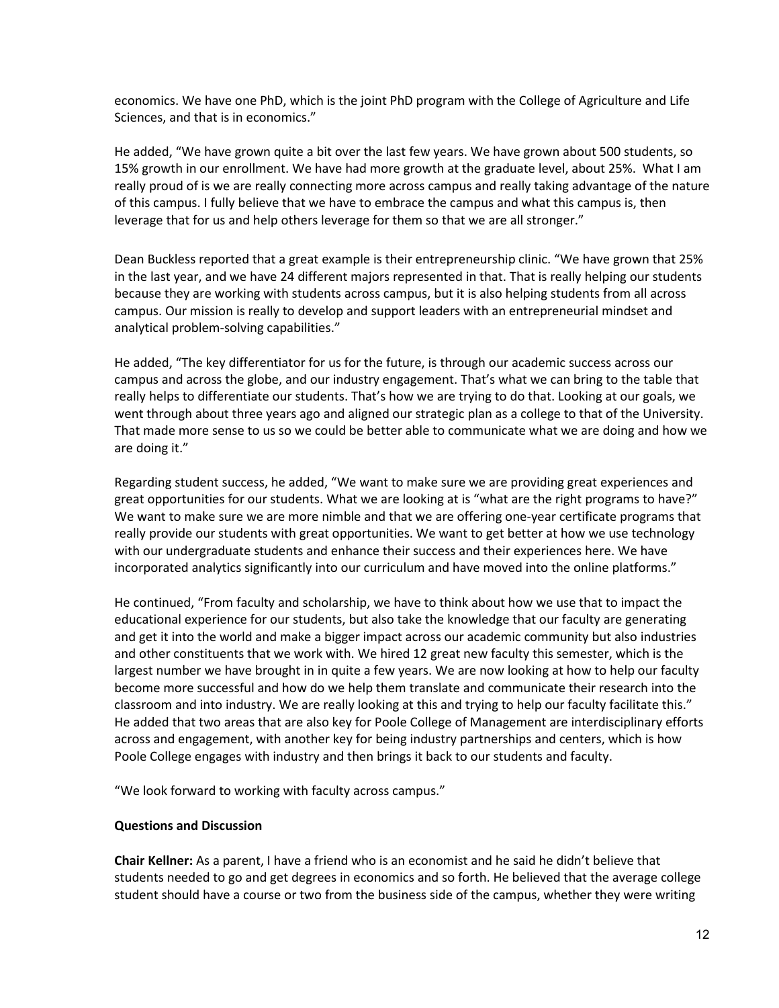economics. We have one PhD, which is the joint PhD program with the College of Agriculture and Life Sciences, and that is in economics."

He added, "We have grown quite a bit over the last few years. We have grown about 500 students, so 15% growth in our enrollment. We have had more growth at the graduate level, about 25%. What I am really proud of is we are really connecting more across campus and really taking advantage of the nature of this campus. I fully believe that we have to embrace the campus and what this campus is, then leverage that for us and help others leverage for them so that we are all stronger."

Dean Buckless reported that a great example is their entrepreneurship clinic. "We have grown that 25% in the last year, and we have 24 different majors represented in that. That is really helping our students because they are working with students across campus, but it is also helping students from all across campus. Our mission is really to develop and support leaders with an entrepreneurial mindset and analytical problem-solving capabilities."

He added, "The key differentiator for us for the future, is through our academic success across our campus and across the globe, and our industry engagement. That's what we can bring to the table that really helps to differentiate our students. That's how we are trying to do that. Looking at our goals, we went through about three years ago and aligned our strategic plan as a college to that of the University. That made more sense to us so we could be better able to communicate what we are doing and how we are doing it."

Regarding student success, he added, "We want to make sure we are providing great experiences and great opportunities for our students. What we are looking at is "what are the right programs to have?" We want to make sure we are more nimble and that we are offering one-year certificate programs that really provide our students with great opportunities. We want to get better at how we use technology with our undergraduate students and enhance their success and their experiences here. We have incorporated analytics significantly into our curriculum and have moved into the online platforms."

He continued, "From faculty and scholarship, we have to think about how we use that to impact the educational experience for our students, but also take the knowledge that our faculty are generating and get it into the world and make a bigger impact across our academic community but also industries and other constituents that we work with. We hired 12 great new faculty this semester, which is the largest number we have brought in in quite a few years. We are now looking at how to help our faculty become more successful and how do we help them translate and communicate their research into the classroom and into industry. We are really looking at this and trying to help our faculty facilitate this." He added that two areas that are also key for Poole College of Management are interdisciplinary efforts across and engagement, with another key for being industry partnerships and centers, which is how Poole College engages with industry and then brings it back to our students and faculty.

"We look forward to working with faculty across campus."

#### **Questions and Discussion**

**Chair Kellner:** As a parent, I have a friend who is an economist and he said he didn't believe that students needed to go and get degrees in economics and so forth. He believed that the average college student should have a course or two from the business side of the campus, whether they were writing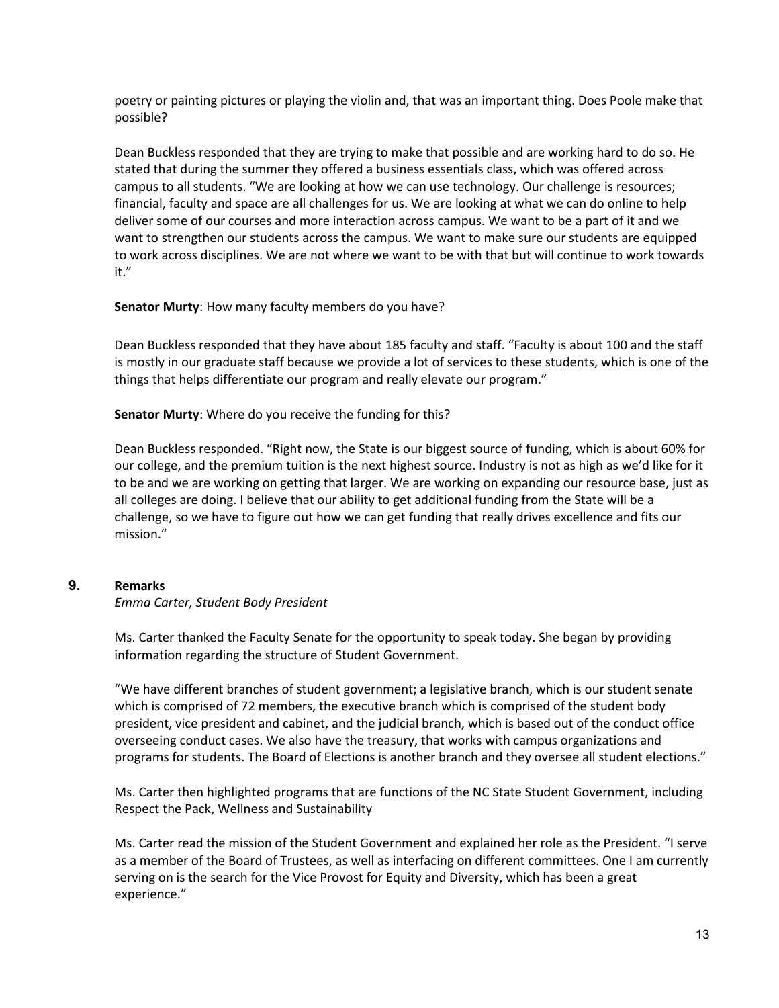poetry or painting pictures or playing the violin and, that was an important thing. Does Poole make that possible?

Dean Buckless responded that they are trying to make that possible and are working hard to do so. He stated that during the summer they offered a business essentials class, which was offered across campus to all students. "We are looking at how we can use technology. Our challenge is resources; financial, faculty and space are all challenges for us. We are looking at what we can do online to help deliver some of our courses and more interaction across campus. We want to be a part of it and we want to strengthen our students across the campus. We want to make sure our students are equipped to work across disciplines. We are not where we want to be with that but will continue to work towards it."

#### **Senator Murty**: How many faculty members do you have?

Dean Buckless responded that they have about 185 faculty and staff. "Faculty is about 100 and the staff is mostly in our graduate staff because we provide a lot of services to these students, which is one of the things that helps differentiate our program and really elevate our program."

**Senator Murty**: Where do you receive the funding for this?

Dean Buckless responded. "Right now, the State is our biggest source of funding, which is about 60% for our college, and the premium tuition is the next highest source. Industry is not as high as we'd like for it to be and we are working on getting that larger. We are working on expanding our resource base, just as all colleges are doing. I believe that our ability to get additional funding from the State will be a challenge, so we have to figure out how we can get funding that really drives excellence and fits our mission."

# **9. Remarks**

#### *Emma Carter, Student Body President*

Ms. Carter thanked the Faculty Senate for the opportunity to speak today. She began by providing information regarding the structure of Student Government.

"We have different branches of student government; a legislative branch, which is our student senate which is comprised of 72 members, the executive branch which is comprised of the student body president, vice president and cabinet, and the judicial branch, which is based out of the conduct office overseeing conduct cases. We also have the treasury, that works with campus organizations and programs for students. The Board of Elections is another branch and they oversee all student elections."

Ms. Carter then highlighted programs that are functions of the NC State Student Government, including Respect the Pack, Wellness and Sustainability

Ms. Carter read the mission of the Student Government and explained her role as the President. "I serve as a member of the Board of Trustees, as well as interfacing on different committees. One I am currently serving on is the search for the Vice Provost for Equity and Diversity, which has been a great experience."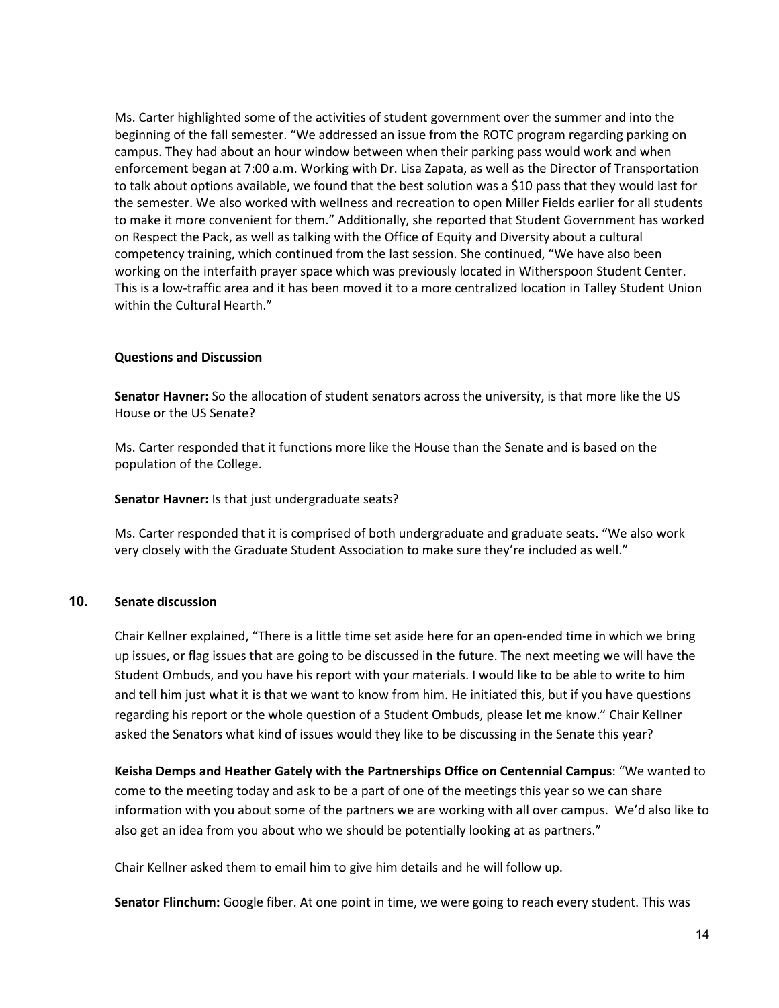Ms. Carter highlighted some of the activities of student government over the summer and into the beginning of the fall semester. "We addressed an issue from the ROTC program regarding parking on campus. They had about an hour window between when their parking pass would work and when enforcement began at 7:00 a.m. Working with Dr. Lisa Zapata, as well as the Director of Transportation to talk about options available, we found that the best solution was a \$10 pass that they would last for the semester. We also worked with wellness and recreation to open Miller Fields earlier for all students to make it more convenient for them." Additionally, she reported that Student Government has worked on Respect the Pack, as well as talking with the Office of Equity and Diversity about a cultural competency training, which continued from the last session. She continued, "We have also been working on the interfaith prayer space which was previously located in Witherspoon Student Center. This is a low-traffic area and it has been moved it to a more centralized location in Talley Student Union within the Cultural Hearth."

#### **Questions and Discussion**

**Senator Havner:** So the allocation of student senators across the university, is that more like the US House or the US Senate?

Ms. Carter responded that it functions more like the House than the Senate and is based on the population of the College.

#### **Senator Havner:** Is that just undergraduate seats?

Ms. Carter responded that it is comprised of both undergraduate and graduate seats. "We also work very closely with the Graduate Student Association to make sure they're included as well."

#### **10. Senate discussion**

Chair Kellner explained, "There is a little time set aside here for an open-ended time in which we bring up issues, or flag issues that are going to be discussed in the future. The next meeting we will have the Student Ombuds, and you have his report with your materials. I would like to be able to write to him and tell him just what it is that we want to know from him. He initiated this, but if you have questions regarding his report or the whole question of a Student Ombuds, please let me know." Chair Kellner asked the Senators what kind of issues would they like to be discussing in the Senate this year?

**Keisha Demps and Heather Gately with the Partnerships Office on Centennial Campus**: "We wanted to come to the meeting today and ask to be a part of one of the meetings this year so we can share information with you about some of the partners we are working with all over campus. We'd also like to also get an idea from you about who we should be potentially looking at as partners."

Chair Kellner asked them to email him to give him details and he will follow up.

**Senator Flinchum:** Google fiber. At one point in time, we were going to reach every student. This was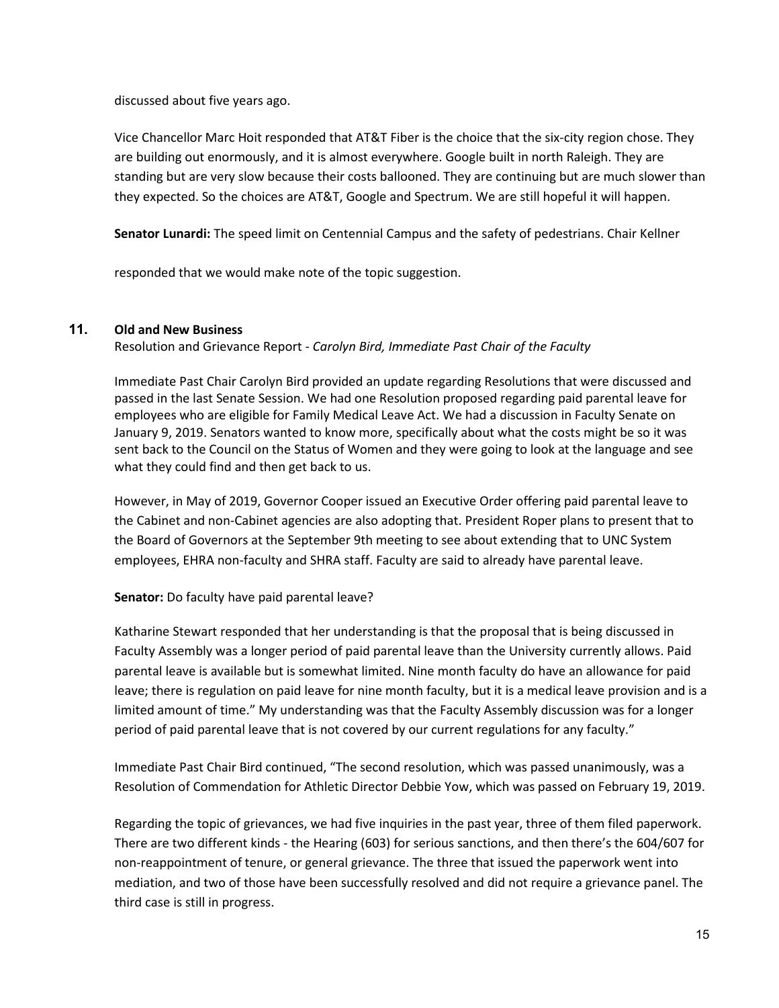discussed about five years ago.

Vice Chancellor Marc Hoit responded that AT&T Fiber is the choice that the six-city region chose. They are building out enormously, and it is almost everywhere. Google built in north Raleigh. They are standing but are very slow because their costs ballooned. They are continuing but are much slower than they expected. So the choices are AT&T, Google and Spectrum. We are still hopeful it will happen.

**Senator Lunardi:** The speed limit on Centennial Campus and the safety of pedestrians. Chair Kellner

responded that we would make note of the topic suggestion.

# **11. Old and New Business**

Resolution and Grievance Report - *Carolyn Bird, Immediate Past Chair of the Faculty*

Immediate Past Chair Carolyn Bird provided an update regarding Resolutions that were discussed and passed in the last Senate Session. We had one Resolution proposed regarding paid parental leave for employees who are eligible for Family Medical Leave Act. We had a discussion in Faculty Senate on January 9, 2019. Senators wanted to know more, specifically about what the costs might be so it was sent back to the Council on the Status of Women and they were going to look at the language and see what they could find and then get back to us.

However, in May of 2019, Governor Cooper issued an Executive Order offering paid parental leave to the Cabinet and non-Cabinet agencies are also adopting that. President Roper plans to present that to the Board of Governors at the September 9th meeting to see about extending that to UNC System employees, EHRA non-faculty and SHRA staff. Faculty are said to already have parental leave.

#### **Senator:** Do faculty have paid parental leave?

Katharine Stewart responded that her understanding is that the proposal that is being discussed in Faculty Assembly was a longer period of paid parental leave than the University currently allows. Paid parental leave is available but is somewhat limited. Nine month faculty do have an allowance for paid leave; there is regulation on paid leave for nine month faculty, but it is a medical leave provision and is a limited amount of time." My understanding was that the Faculty Assembly discussion was for a longer period of paid parental leave that is not covered by our current regulations for any faculty."

Immediate Past Chair Bird continued, "The second resolution, which was passed unanimously, was a Resolution of Commendation for Athletic Director Debbie Yow, which was passed on February 19, 2019.

Regarding the topic of grievances, we had five inquiries in the past year, three of them filed paperwork. There are two different kinds - the Hearing (603) for serious sanctions, and then there's the 604/607 for non-reappointment of tenure, or general grievance. The three that issued the paperwork went into mediation, and two of those have been successfully resolved and did not require a grievance panel. The third case is still in progress.